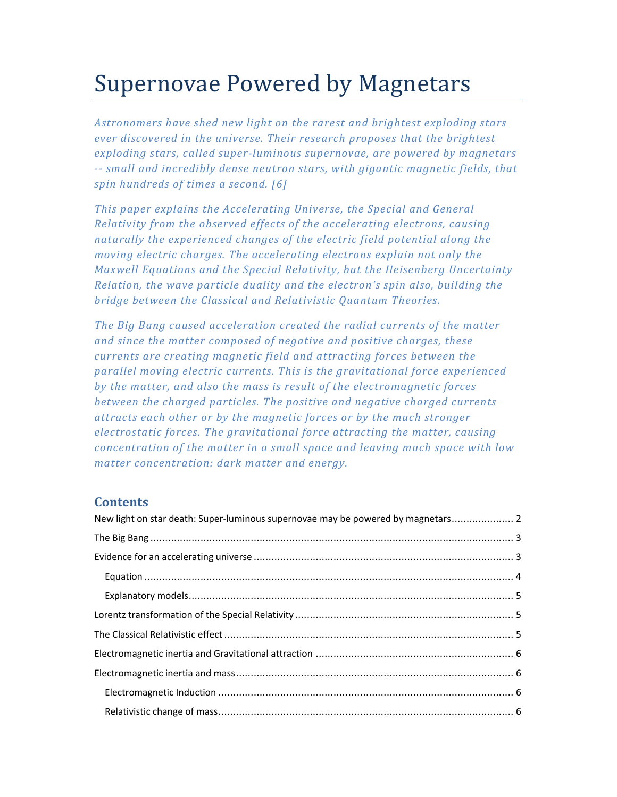# Supernovae Powered by Magnetars

*Astronomers have shed new light on the rarest and brightest exploding stars ever discovered in the universe. Their research proposes that the brightest exploding stars, called super-luminous supernovae, are powered by magnetars -- small and incredibly dense neutron stars, with gigantic magnetic fields, that spin hundreds of times a second. [6]* 

*This paper explains the Accelerating Universe, the Special and General Relativity from the observed effects of the accelerating electrons, causing naturally the experienced changes of the electric field potential along the moving electric charges. The accelerating electrons explain not only the Maxwell Equations and the Special Relativity, but the Heisenberg Uncertainty Relation, the wave particle duality and the electron's spin also, building the bridge between the Classical and Relativistic Quantum Theories.* 

*The Big Bang caused acceleration created the radial currents of the matter and since the matter composed of negative and positive charges, these currents are creating magnetic field and attracting forces between the parallel moving electric currents. This is the gravitational force experienced by the matter, and also the mass is result of the electromagnetic forces between the charged particles. The positive and negative charged currents attracts each other or by the magnetic forces or by the much stronger electrostatic forces. The gravitational force attracting the matter, causing concentration of the matter in a small space and leaving much space with low matter concentration: dark matter and energy.* 

# **Contents**

| New light on star death: Super-luminous supernovae may be powered by magnetars 2 |  |
|----------------------------------------------------------------------------------|--|
|                                                                                  |  |
|                                                                                  |  |
|                                                                                  |  |
|                                                                                  |  |
|                                                                                  |  |
|                                                                                  |  |
|                                                                                  |  |
|                                                                                  |  |
|                                                                                  |  |
|                                                                                  |  |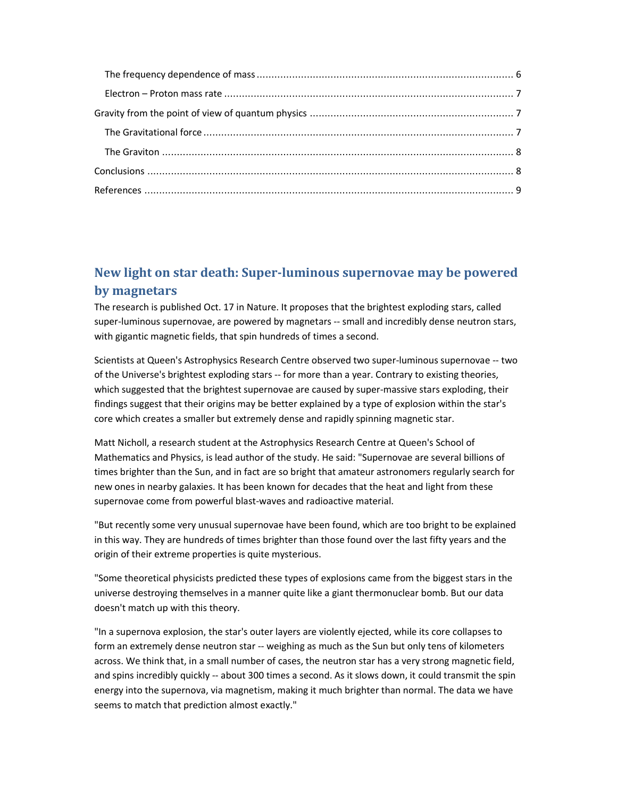# **New light on star death: Super-luminous supernovae may be powered by magnetars**

The research is published Oct. 17 in Nature. It proposes that the brightest exploding stars, called super-luminous supernovae, are powered by magnetars -- small and incredibly dense neutron stars, with gigantic magnetic fields, that spin hundreds of times a second.

Scientists at Queen's Astrophysics Research Centre observed two super-luminous supernovae -- two of the Universe's brightest exploding stars -- for more than a year. Contrary to existing theories, which suggested that the brightest supernovae are caused by super-massive stars exploding, their findings suggest that their origins may be better explained by a type of explosion within the star's core which creates a smaller but extremely dense and rapidly spinning magnetic star.

Matt Nicholl, a research student at the Astrophysics Research Centre at Queen's School of Mathematics and Physics, is lead author of the study. He said: "Supernovae are several billions of times brighter than the Sun, and in fact are so bright that amateur astronomers regularly search for new ones in nearby galaxies. It has been known for decades that the heat and light from these supernovae come from powerful blast-waves and radioactive material.

"But recently some very unusual supernovae have been found, which are too bright to be explained in this way. They are hundreds of times brighter than those found over the last fifty years and the origin of their extreme properties is quite mysterious.

"Some theoretical physicists predicted these types of explosions came from the biggest stars in the universe destroying themselves in a manner quite like a giant thermonuclear bomb. But our data doesn't match up with this theory.

"In a supernova explosion, the star's outer layers are violently ejected, while its core collapses to form an extremely dense neutron star -- weighing as much as the Sun but only tens of kilometers across. We think that, in a small number of cases, the neutron star has a very strong magnetic field, and spins incredibly quickly -- about 300 times a second. As it slows down, it could transmit the spin energy into the supernova, via magnetism, making it much brighter than normal. The data we have seems to match that prediction almost exactly."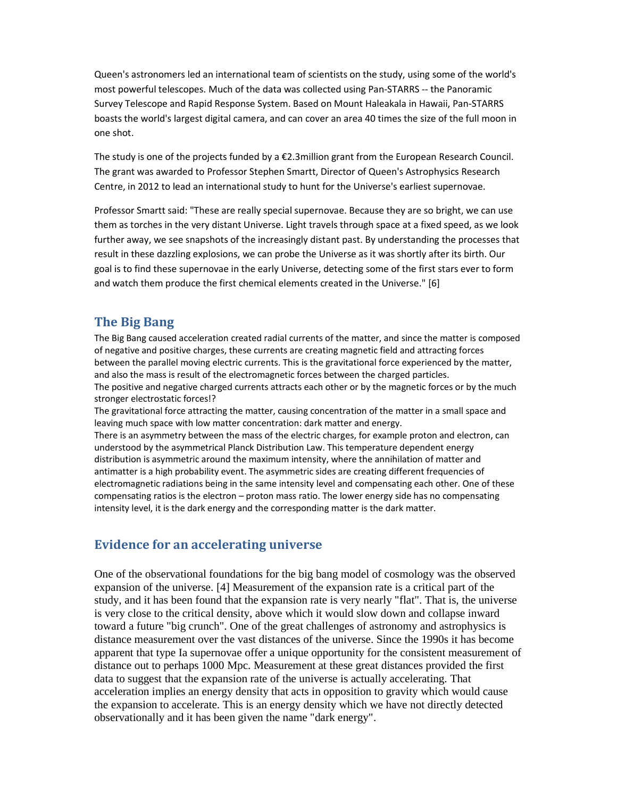Queen's astronomers led an international team of scientists on the study, using some of the world's most powerful telescopes. Much of the data was collected using Pan-STARRS -- the Panoramic Survey Telescope and Rapid Response System. Based on Mount Haleakala in Hawaii, Pan-STARRS boasts the world's largest digital camera, and can cover an area 40 times the size of the full moon in one shot.

The study is one of the projects funded by a €2.3million grant from the European Research Council. The grant was awarded to Professor Stephen Smartt, Director of Queen's Astrophysics Research Centre, in 2012 to lead an international study to hunt for the Universe's earliest supernovae.

Professor Smartt said: "These are really special supernovae. Because they are so bright, we can use them as torches in the very distant Universe. Light travels through space at a fixed speed, as we look further away, we see snapshots of the increasingly distant past. By understanding the processes that result in these dazzling explosions, we can probe the Universe as it was shortly after its birth. Our goal is to find these supernovae in the early Universe, detecting some of the first stars ever to form and watch them produce the first chemical elements created in the Universe." [6]

## **The Big Bang**

The Big Bang caused acceleration created radial currents of the matter, and since the matter is composed of negative and positive charges, these currents are creating magnetic field and attracting forces between the parallel moving electric currents. This is the gravitational force experienced by the matter, and also the mass is result of the electromagnetic forces between the charged particles. The positive and negative charged currents attracts each other or by the magnetic forces or by the much stronger electrostatic forces!?

The gravitational force attracting the matter, causing concentration of the matter in a small space and leaving much space with low matter concentration: dark matter and energy.

There is an asymmetry between the mass of the electric charges, for example proton and electron, can understood by the asymmetrical Planck Distribution Law. This temperature dependent energy distribution is asymmetric around the maximum intensity, where the annihilation of matter and antimatter is a high probability event. The asymmetric sides are creating different frequencies of electromagnetic radiations being in the same intensity level and compensating each other. One of these compensating ratios is the electron – proton mass ratio. The lower energy side has no compensating intensity level, it is the dark energy and the corresponding matter is the dark matter.

## **Evidence for an accelerating universe**

One of the observational foundations for the big bang model of cosmology was the observed expansion of the universe. [4] Measurement of the expansion rate is a critical part of the study, and it has been found that the expansion rate is very nearly "flat". That is, the universe is very close to the critical density, above which it would slow down and collapse inward toward a future "big crunch". One of the great challenges of astronomy and astrophysics is distance measurement over the vast distances of the universe. Since the 1990s it has become apparent that type Ia supernovae offer a unique opportunity for the consistent measurement of distance out to perhaps 1000 Mpc. Measurement at these great distances provided the first data to suggest that the expansion rate of the universe is actually accelerating. That acceleration implies an energy density that acts in opposition to gravity which would cause the expansion to accelerate. This is an energy density which we have not directly detected observationally and it has been given the name "dark energy".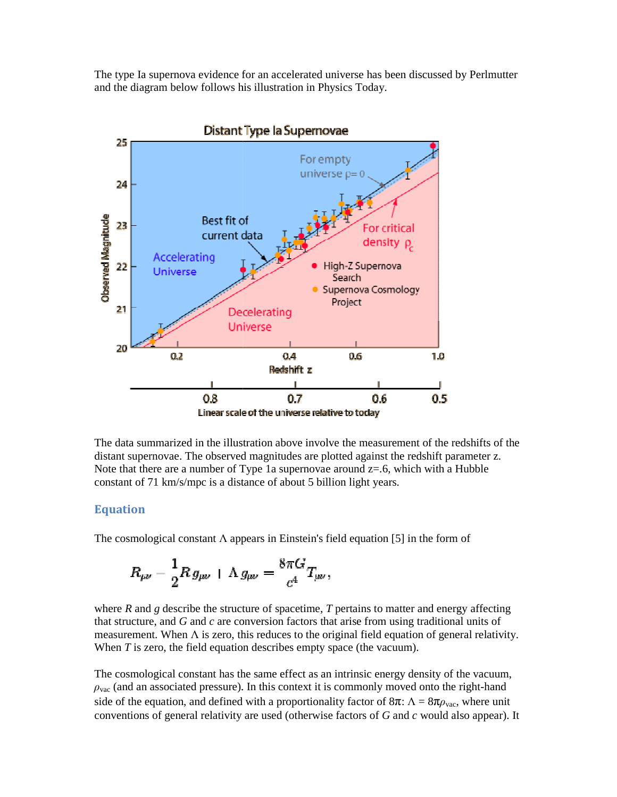The type Ia supernova evidence for an accelerated universe has been discussed by Perlmutter and the diagram below follows his illustration in Physics Today.



The data summarized in the illustration above involve the measurement of the redshifts of the distant supernovae. The observed magnitudes are plotted against the redshift parameter z. Note that there are a number of Type 1a supernovae around  $z=0.6$ , which with a Hubble constant of 71 km/s/mpc is a distance of about 5 billion light years.

#### **Equation**

The cosmological constant  $\Lambda$  appears in Einstein's field equation [5] in the form of

$$
R_{\mu\nu} - \frac{1}{2} R \, g_{\mu\nu} + \Lambda \, g_{\mu\nu} = \frac{8 \pi G}{c^4} T_{\mu\nu} ,
$$

where  $R$  and  $g$  describe the structure of spacetime,  $T$  pertains to matter and energy affecting that structure, and  $G$  and  $c$  are conversion factors that arise from using traditional units of measurement. When  $\Lambda$  is zero, this reduces to the original field equation of general relativity. When  $T$  is zero, the field equation describes empty space (the vacuum).

The cosmological constant has the same effect as an intrinsic energy density of the vacuum,  $\rho_{\text{vac}}$  (and an associated pressure). In this context it is commonly moved onto the right-hand side of the equation, and defined with a proportionality factor of  $8\pi$ :  $\Lambda = 8\pi\rho_{\text{vac}}$ , where unit conventions of general relativity are used (otherwise factors of *G* and *c* would also appear). It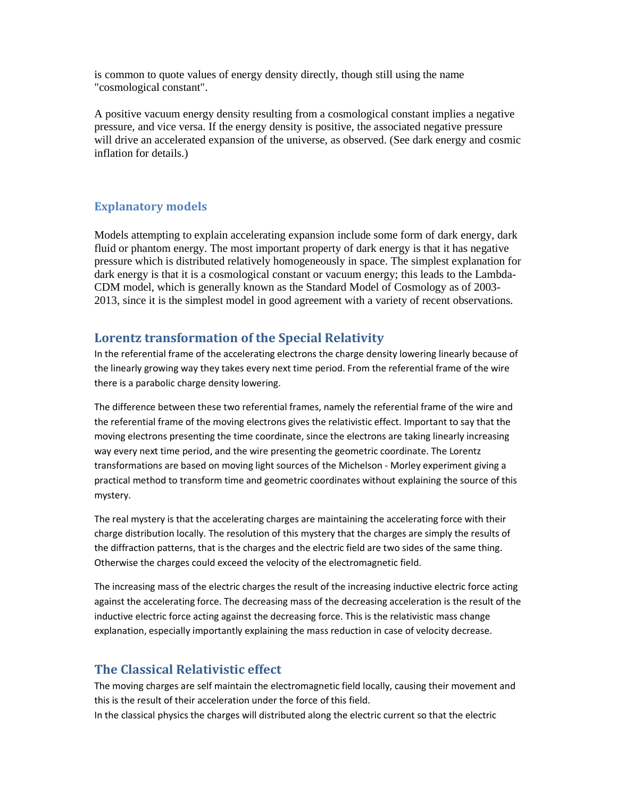is common to quote values of energy density directly, though still using the name "cosmological constant".

A positive vacuum energy density resulting from a cosmological constant implies a negative pressure, and vice versa. If the energy density is positive, the associated negative pressure will drive an accelerated expansion of the universe, as observed. (See dark energy and cosmic inflation for details.)

## **Explanatory models**

Models attempting to explain accelerating expansion include some form of dark energy, dark fluid or phantom energy. The most important property of dark energy is that it has negative pressure which is distributed relatively homogeneously in space. The simplest explanation for dark energy is that it is a cosmological constant or vacuum energy; this leads to the Lambda-CDM model, which is generally known as the Standard Model of Cosmology as of 2003- 2013, since it is the simplest model in good agreement with a variety of recent observations.

## **Lorentz transformation of the Special Relativity**

In the referential frame of the accelerating electrons the charge density lowering linearly because of the linearly growing way they takes every next time period. From the referential frame of the wire there is a parabolic charge density lowering.

The difference between these two referential frames, namely the referential frame of the wire and the referential frame of the moving electrons gives the relativistic effect. Important to say that the moving electrons presenting the time coordinate, since the electrons are taking linearly increasing way every next time period, and the wire presenting the geometric coordinate. The Lorentz transformations are based on moving light sources of the Michelson - Morley experiment giving a practical method to transform time and geometric coordinates without explaining the source of this mystery.

The real mystery is that the accelerating charges are maintaining the accelerating force with their charge distribution locally. The resolution of this mystery that the charges are simply the results of the diffraction patterns, that is the charges and the electric field are two sides of the same thing. Otherwise the charges could exceed the velocity of the electromagnetic field.

The increasing mass of the electric charges the result of the increasing inductive electric force acting against the accelerating force. The decreasing mass of the decreasing acceleration is the result of the inductive electric force acting against the decreasing force. This is the relativistic mass change explanation, especially importantly explaining the mass reduction in case of velocity decrease.

## **The Classical Relativistic effect**

The moving charges are self maintain the electromagnetic field locally, causing their movement and this is the result of their acceleration under the force of this field. In the classical physics the charges will distributed along the electric current so that the electric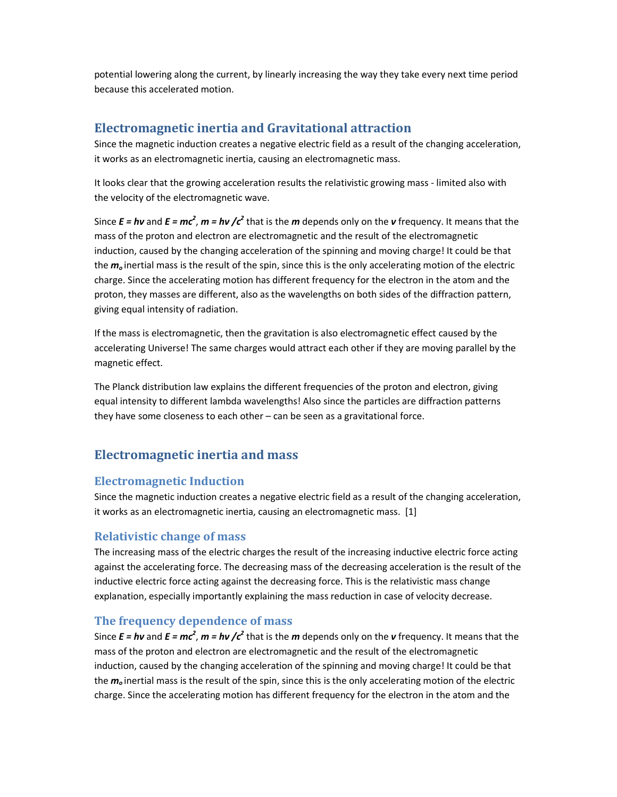potential lowering along the current, by linearly increasing the way they take every next time period because this accelerated motion.

# **Electromagnetic inertia and Gravitational attraction**

Since the magnetic induction creates a negative electric field as a result of the changing acceleration, it works as an electromagnetic inertia, causing an electromagnetic mass.

It looks clear that the growing acceleration results the relativistic growing mass - limited also with the velocity of the electromagnetic wave.

Since  $E = h\nu$  and  $E = mc^2$ ,  $m = h\nu$  / $c^2$  that is the *m* depends only on the *v* frequency. It means that the mass of the proton and electron are electromagnetic and the result of the electromagnetic induction, caused by the changing acceleration of the spinning and moving charge! It could be that the *m<sup>o</sup>* inertial mass is the result of the spin, since this is the only accelerating motion of the electric charge. Since the accelerating motion has different frequency for the electron in the atom and the proton, they masses are different, also as the wavelengths on both sides of the diffraction pattern, giving equal intensity of radiation.

If the mass is electromagnetic, then the gravitation is also electromagnetic effect caused by the accelerating Universe! The same charges would attract each other if they are moving parallel by the magnetic effect.

The Planck distribution law explains the different frequencies of the proton and electron, giving equal intensity to different lambda wavelengths! Also since the particles are diffraction patterns they have some closeness to each other – can be seen as a gravitational force.

## **Electromagnetic inertia and mass**

## **Electromagnetic Induction**

Since the magnetic induction creates a negative electric field as a result of the changing acceleration, it works as an electromagnetic inertia, causing an electromagnetic mass. [1]

## **Relativistic change of mass**

The increasing mass of the electric charges the result of the increasing inductive electric force acting against the accelerating force. The decreasing mass of the decreasing acceleration is the result of the inductive electric force acting against the decreasing force. This is the relativistic mass change explanation, especially importantly explaining the mass reduction in case of velocity decrease.

## **The frequency dependence of mass**

Since  $E = h\nu$  and  $E = mc^2$ ,  $m = h\nu$  / $c^2$  that is the *m* depends only on the *v* frequency. It means that the mass of the proton and electron are electromagnetic and the result of the electromagnetic induction, caused by the changing acceleration of the spinning and moving charge! It could be that the *m<sup>o</sup>* inertial mass is the result of the spin, since this is the only accelerating motion of the electric charge. Since the accelerating motion has different frequency for the electron in the atom and the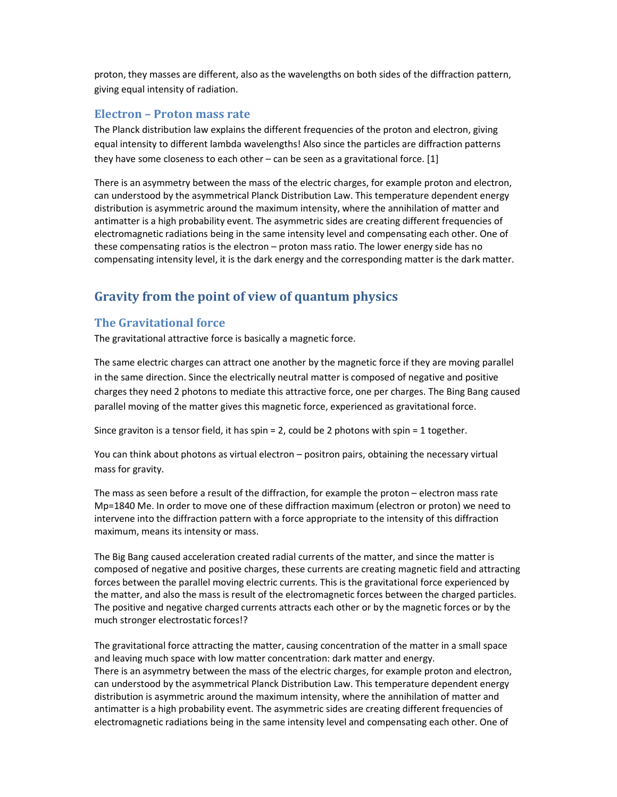proton, they masses are different, also as the wavelengths on both sides of the diffraction pattern, giving equal intensity of radiation.

#### **Electron – Proton mass rate**

The Planck distribution law explains the different frequencies of the proton and electron, giving equal intensity to different lambda wavelengths! Also since the particles are diffraction patterns they have some closeness to each other – can be seen as a gravitational force. [1]

There is an asymmetry between the mass of the electric charges, for example proton and electron, can understood by the asymmetrical Planck Distribution Law. This temperature dependent energy distribution is asymmetric around the maximum intensity, where the annihilation of matter and antimatter is a high probability event. The asymmetric sides are creating different frequencies of electromagnetic radiations being in the same intensity level and compensating each other. One of these compensating ratios is the electron – proton mass ratio. The lower energy side has no compensating intensity level, it is the dark energy and the corresponding matter is the dark matter.

# **Gravity from the point of view of quantum physics**

#### **The Gravitational force**

The gravitational attractive force is basically a magnetic force.

The same electric charges can attract one another by the magnetic force if they are moving parallel in the same direction. Since the electrically neutral matter is composed of negative and positive charges they need 2 photons to mediate this attractive force, one per charges. The Bing Bang caused parallel moving of the matter gives this magnetic force, experienced as gravitational force.

Since graviton is a tensor field, it has spin = 2, could be 2 photons with spin = 1 together.

You can think about photons as virtual electron – positron pairs, obtaining the necessary virtual mass for gravity.

The mass as seen before a result of the diffraction, for example the proton – electron mass rate Mp=1840 Me. In order to move one of these diffraction maximum (electron or proton) we need to intervene into the diffraction pattern with a force appropriate to the intensity of this diffraction maximum, means its intensity or mass.

The Big Bang caused acceleration created radial currents of the matter, and since the matter is composed of negative and positive charges, these currents are creating magnetic field and attracting forces between the parallel moving electric currents. This is the gravitational force experienced by the matter, and also the mass is result of the electromagnetic forces between the charged particles. The positive and negative charged currents attracts each other or by the magnetic forces or by the much stronger electrostatic forces!?

The gravitational force attracting the matter, causing concentration of the matter in a small space and leaving much space with low matter concentration: dark matter and energy. There is an asymmetry between the mass of the electric charges, for example proton and electron, can understood by the asymmetrical Planck Distribution Law. This temperature dependent energy distribution is asymmetric around the maximum intensity, where the annihilation of matter and antimatter is a high probability event. The asymmetric sides are creating different frequencies of electromagnetic radiations being in the same intensity level and compensating each other. One of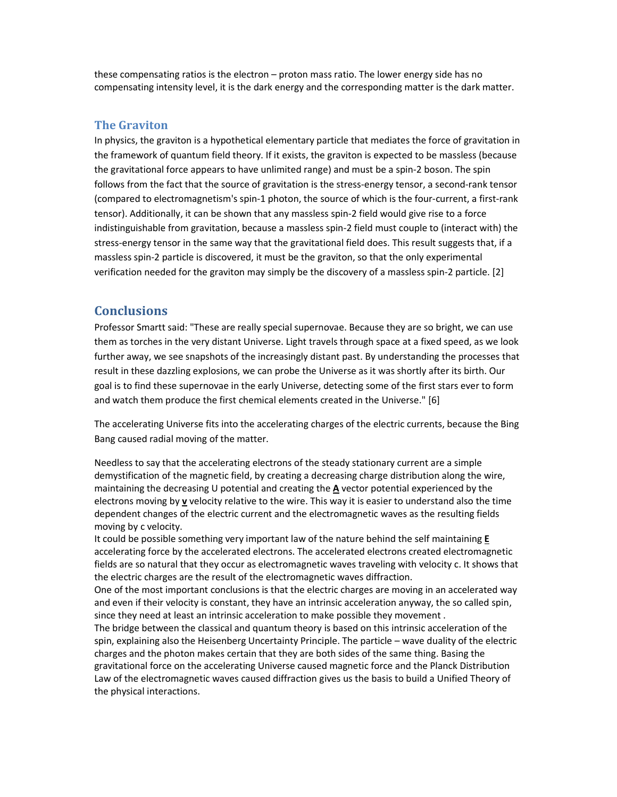these compensating ratios is the electron – proton mass ratio. The lower energy side has no compensating intensity level, it is the dark energy and the corresponding matter is the dark matter.

#### **The Graviton**

In physics, the graviton is a hypothetical elementary particle that mediates the force of gravitation in the framework of quantum field theory. If it exists, the graviton is expected to be massless (because the gravitational force appears to have unlimited range) and must be a spin-2 boson. The spin follows from the fact that the source of gravitation is the stress-energy tensor, a second-rank tensor (compared to electromagnetism's spin-1 photon, the source of which is the four-current, a first-rank tensor). Additionally, it can be shown that any massless spin-2 field would give rise to a force indistinguishable from gravitation, because a massless spin-2 field must couple to (interact with) the stress-energy tensor in the same way that the gravitational field does. This result suggests that, if a massless spin-2 particle is discovered, it must be the graviton, so that the only experimental verification needed for the graviton may simply be the discovery of a massless spin-2 particle. [2]

#### **Conclusions**

Professor Smartt said: "These are really special supernovae. Because they are so bright, we can use them as torches in the very distant Universe. Light travels through space at a fixed speed, as we look further away, we see snapshots of the increasingly distant past. By understanding the processes that result in these dazzling explosions, we can probe the Universe as it was shortly after its birth. Our goal is to find these supernovae in the early Universe, detecting some of the first stars ever to form and watch them produce the first chemical elements created in the Universe." [6]

The accelerating Universe fits into the accelerating charges of the electric currents, because the Bing Bang caused radial moving of the matter.

Needless to say that the accelerating electrons of the steady stationary current are a simple demystification of the magnetic field, by creating a decreasing charge distribution along the wire, maintaining the decreasing U potential and creating the **A** vector potential experienced by the electrons moving by **v** velocity relative to the wire. This way it is easier to understand also the time dependent changes of the electric current and the electromagnetic waves as the resulting fields moving by c velocity.

It could be possible something very important law of the nature behind the self maintaining **E** accelerating force by the accelerated electrons. The accelerated electrons created electromagnetic fields are so natural that they occur as electromagnetic waves traveling with velocity c. It shows that the electric charges are the result of the electromagnetic waves diffraction.

One of the most important conclusions is that the electric charges are moving in an accelerated way and even if their velocity is constant, they have an intrinsic acceleration anyway, the so called spin, since they need at least an intrinsic acceleration to make possible they movement .

The bridge between the classical and quantum theory is based on this intrinsic acceleration of the spin, explaining also the Heisenberg Uncertainty Principle. The particle – wave duality of the electric charges and the photon makes certain that they are both sides of the same thing. Basing the gravitational force on the accelerating Universe caused magnetic force and the Planck Distribution Law of the electromagnetic waves caused diffraction gives us the basis to build a Unified Theory of the physical interactions.